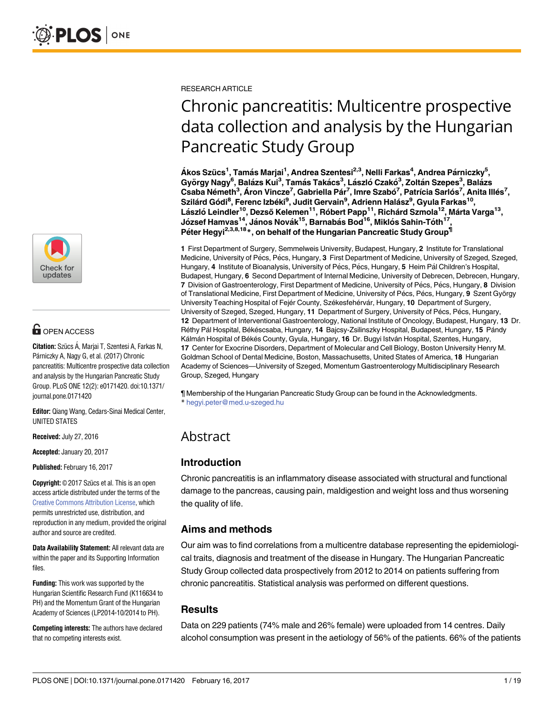

# **OPEN ACCESS**

**Citation:** Szücs Á, Marjai T, Szentesi A, Farkas N, Párniczky A, Nagy G, et al. (2017) Chronic pancreatitis: Multicentre prospective data collection and analysis by the Hungarian Pancreatic Study Group. PLoS ONE 12(2): e0171420. doi:10.1371/ journal.pone.0171420

**Editor:** Qiang Wang, Cedars-Sinai Medical Center, UNITED STATES

**Received:** July 27, 2016

**Accepted:** January 20, 2017

**Published:** February 16, 2017

**Copyright:** © 2017 Szücs et al. This is an open access article distributed under the terms of the Creative Commons [Attribution](http://creativecommons.org/licenses/by/4.0/) License, which permits unrestricted use, distribution, and reproduction in any medium, provided the original author and source are credited.

**Data Availability Statement:** All relevant data are within the paper and its Supporting Information files.

**Funding:** This work was supported by the Hungarian Scientific Research Fund (K116634 to PH) and the Momentum Grant of the Hungarian Academy of Sciences (LP2014-10/2014 to PH).

**Competing interests:** The authors have declared that no competing interests exist.

RESEARCH ARTICLE

# Chronic pancreatitis: Multicentre prospective data collection and analysis by the Hungarian Pancreatic Study Group

 $\hat{\mathbf{A}}$ kos Szücs<sup>1</sup>, Tamás Marjai<sup>1</sup>, Andrea Szentesi<sup>2,3</sup>, Nelli Farkas<sup>4</sup>, Andrea Párniczky<sup>5</sup>,  $G$ yörgy Nagy<sup>6</sup>, Balázs Kui $^3$ , Tamás Takács $^3$ , László Czakó $^3$ , Zoltán Szepes $^3$ , Balázs Csaba Németh<sup>3</sup>, Áron Vincze<sup>7</sup>, Gabriella Pár<sup>7</sup>, Imre Szabó<sup>7</sup>, Patrícia Sarlós<sup>7</sup>, Anita Illés<sup>7</sup>,  $S$ zilárd Gódi<sup>8</sup>, Ferenc Izbéki<sup>9</sup>, Judit Gervain<sup>9</sup>, Adrienn Halász<sup>9</sup>, Gyula Farkas<sup>10</sup>, **La´szlo´ Leindler10, Dezső Kelemen11, Ro´bert Papp11, Richa´rd Szmola12, Ma´rta Varga13, Jo´ zsef Hamvas14, Ja´nos Nova´k15, Barnaba´s Bod16, Miklo´s Sahin-To´th17, Pe´ter Hegyi2,3,8,18\*, on behalf of the Hungarian Pancreatic Study Group¶**

**1** First Department of Surgery, Semmelweis University, Budapest, Hungary, **2** Institute for Translational Medicine, University of Pécs, Pécs, Hungary, 3 First Department of Medicine, University of Szeged, Szeged, Hungary, 4 Institute of Bioanalysis, University of Pécs, Pécs, Hungary, 5 Heim Pál Children's Hospital, Budapest, Hungary, **6** Second Department of Internal Medicine, University of Debrecen, Debrecen, Hungary, **7** Division of Gastroenterology, First Department of Medicine, University of Pécs, Pécs, Hungary, 8 Division of Translational Medicine, First Department of Medicine, University of Pécs, Pécs, Hungary, 9 Szent György University Teaching Hospital of Fejér County, Székesfehérvár, Hungary, 10 Department of Surgery, University of Szeged, Szeged, Hungary, 11 Department of Surgery, University of Pécs, Pécs, Hungary, **12** Department of Interventional Gastroenterology, National Institute of Oncology, Budapest, Hungary, **13** Dr. Réthy Pál Hospital, Békéscsaba, Hungary, 14 Bajcsy-Zsilinszky Hospital, Budapest, Hungary, 15 Pándy Kálmán Hospital of Békés County, Gyula, Hungary, 16 Dr. Bugyi István Hospital, Szentes, Hungary, **17** Center for Exocrine Disorders, Department of Molecular and Cell Biology, Boston University Henry M. Goldman School of Dental Medicine, Boston, Massachusetts, United States of America, **18** Hungarian Academy of Sciences—University of Szeged, Momentum Gastroenterology Multidisciplinary Research Group, Szeged, Hungary

¶ Membership of the Hungarian Pancreatic Study Group can be found in the Acknowledgments. \* hegyi.peter@med.u-szeged.hu

# Abstract

# **Introduction**

Chronic pancreatitis is an inflammatory disease associated with structural and functional damage to the pancreas, causing pain, maldigestion and weight loss and thus worsening the quality of life.

# **Aims and methods**

Our aim was to find correlations from a multicentre database representing the epidemiological traits, diagnosis and treatment of the disease in Hungary. The Hungarian Pancreatic Study Group collected data prospectively from 2012 to 2014 on patients suffering from chronic pancreatitis. Statistical analysis was performed on different questions.

# **Results**

Data on 229 patients (74% male and 26% female) were uploaded from 14 centres. Daily alcohol consumption was present in the aetiology of 56% of the patients. 66% of the patients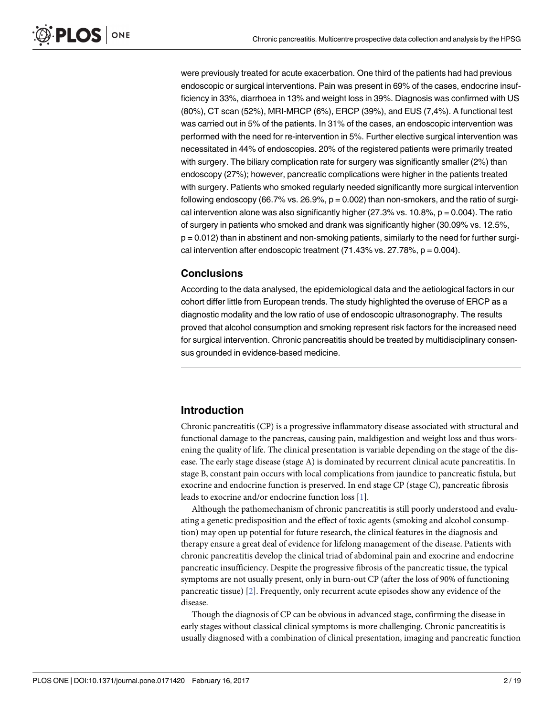<span id="page-1-0"></span>were previously treated for acute exacerbation. One third of the patients had had previous endoscopic or surgical interventions. Pain was present in 69% of the cases, endocrine insufficiency in 33%, diarrhoea in 13% and weight loss in 39%. Diagnosis was confirmed with US (80%), CT scan (52%), MRI-MRCP (6%), ERCP (39%), and EUS (7,4%). A functional test was carried out in 5% of the patients. In 31% of the cases, an endoscopic intervention was performed with the need for re-intervention in 5%. Further elective surgical intervention was necessitated in 44% of endoscopies. 20% of the registered patients were primarily treated with surgery. The biliary complication rate for surgery was significantly smaller (2%) than endoscopy (27%); however, pancreatic complications were higher in the patients treated with surgery. Patients who smoked regularly needed significantly more surgical intervention following endoscopy (66.7% vs. 26.9%,  $p = 0.002$ ) than non-smokers, and the ratio of surgical intervention alone was also significantly higher ( $27.3\%$  vs.  $10.8\%$ ,  $p = 0.004$ ). The ratio of surgery in patients who smoked and drank was significantly higher (30.09% vs. 12.5%, p = 0.012) than in abstinent and non-smoking patients, similarly to the need for further surgical intervention after endoscopic treatment  $(71.43\%$  vs.  $27.78\%$ ,  $p = 0.004$ ).

## **Conclusions**

According to the data analysed, the epidemiological data and the aetiological factors in our cohort differ little from European trends. The study highlighted the overuse of ERCP as a diagnostic modality and the low ratio of use of endoscopic ultrasonography. The results proved that alcohol consumption and smoking represent risk factors for the increased need for surgical intervention. Chronic pancreatitis should be treated by multidisciplinary consensus grounded in evidence-based medicine.

# **Introduction**

Chronic pancreatitis (CP) is a progressive inflammatory disease associated with structural and functional damage to the pancreas, causing pain, maldigestion and weight loss and thus worsening the quality of life. The clinical presentation is variable depending on the stage of the disease. The early stage disease (stage A) is dominated by recurrent clinical acute pancreatitis. In stage B, constant pain occurs with local complications from jaundice to pancreatic fistula, but exocrine and endocrine function is preserved. In end stage CP (stage C), pancreatic fibrosis leads to exocrine and/or endocrine function loss [\[1](#page-15-0)].

Although the pathomechanism of chronic pancreatitis is still poorly understood and evaluating a genetic predisposition and the effect of toxic agents (smoking and alcohol consumption) may open up potential for future research, the clinical features in the diagnosis and therapy ensure a great deal of evidence for lifelong management of the disease. Patients with chronic pancreatitis develop the clinical triad of abdominal pain and exocrine and endocrine pancreatic insufficiency. Despite the progressive fibrosis of the pancreatic tissue, the typical symptoms are not usually present, only in burn-out CP (after the loss of 90% of functioning pancreatic tissue) [\[2\]](#page-15-0). Frequently, only recurrent acute episodes show any evidence of the disease.

Though the diagnosis of CP can be obvious in advanced stage, confirming the disease in early stages without classical clinical symptoms is more challenging. Chronic pancreatitis is usually diagnosed with a combination of clinical presentation, imaging and pancreatic function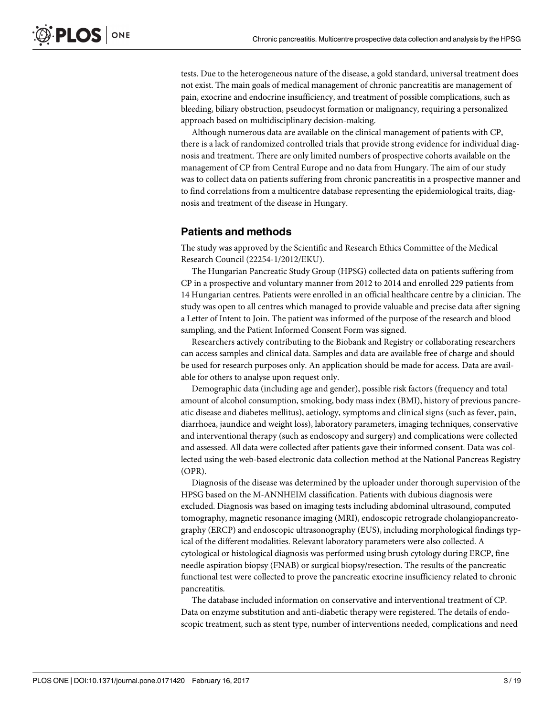tests. Due to the heterogeneous nature of the disease, a gold standard, universal treatment does not exist. The main goals of medical management of chronic pancreatitis are management of pain, exocrine and endocrine insufficiency, and treatment of possible complications, such as bleeding, biliary obstruction, pseudocyst formation or malignancy, requiring a personalized approach based on multidisciplinary decision-making.

Although numerous data are available on the clinical management of patients with CP, there is a lack of randomized controlled trials that provide strong evidence for individual diagnosis and treatment. There are only limited numbers of prospective cohorts available on the management of CP from Central Europe and no data from Hungary. The aim of our study was to collect data on patients suffering from chronic pancreatitis in a prospective manner and to find correlations from a multicentre database representing the epidemiological traits, diagnosis and treatment of the disease in Hungary.

### **Patients and methods**

The study was approved by the Scientific and Research Ethics Committee of the Medical Research Council (22254-1/2012/EKU).

The Hungarian Pancreatic Study Group (HPSG) collected data on patients suffering from CP in a prospective and voluntary manner from 2012 to 2014 and enrolled 229 patients from 14 Hungarian centres. Patients were enrolled in an official healthcare centre by a clinician. The study was open to all centres which managed to provide valuable and precise data after signing a Letter of Intent to Join. The patient was informed of the purpose of the research and blood sampling, and the Patient Informed Consent Form was signed.

Researchers actively contributing to the Biobank and Registry or collaborating researchers can access samples and clinical data. Samples and data are available free of charge and should be used for research purposes only. An application should be made for access. Data are available for others to analyse upon request only.

Demographic data (including age and gender), possible risk factors (frequency and total amount of alcohol consumption, smoking, body mass index (BMI), history of previous pancreatic disease and diabetes mellitus), aetiology, symptoms and clinical signs (such as fever, pain, diarrhoea, jaundice and weight loss), laboratory parameters, imaging techniques, conservative and interventional therapy (such as endoscopy and surgery) and complications were collected and assessed. All data were collected after patients gave their informed consent. Data was collected using the web-based electronic data collection method at the National Pancreas Registry (OPR).

Diagnosis of the disease was determined by the uploader under thorough supervision of the HPSG based on the M-ANNHEIM classification. Patients with dubious diagnosis were excluded. Diagnosis was based on imaging tests including abdominal ultrasound, computed tomography, magnetic resonance imaging (MRI), endoscopic retrograde cholangiopancreatography (ERCP) and endoscopic ultrasonography (EUS), including morphological findings typical of the different modalities. Relevant laboratory parameters were also collected. A cytological or histological diagnosis was performed using brush cytology during ERCP, fine needle aspiration biopsy (FNAB) or surgical biopsy/resection. The results of the pancreatic functional test were collected to prove the pancreatic exocrine insufficiency related to chronic pancreatitis.

The database included information on conservative and interventional treatment of CP. Data on enzyme substitution and anti-diabetic therapy were registered. The details of endoscopic treatment, such as stent type, number of interventions needed, complications and need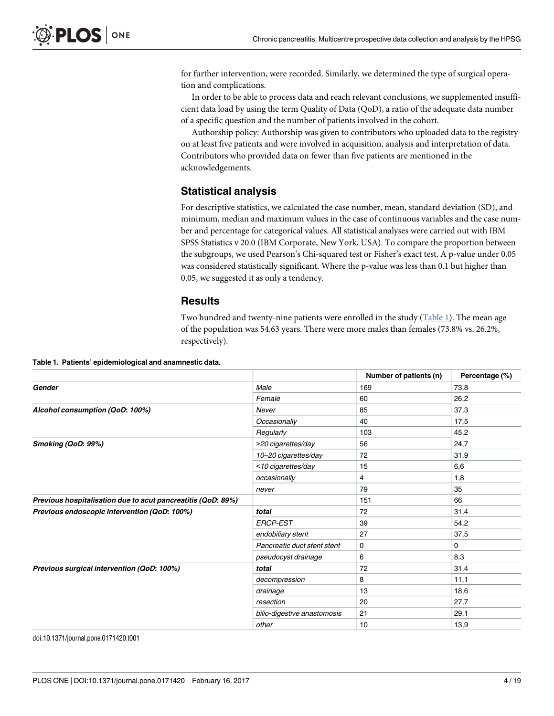for further intervention, were recorded. Similarly, we determined the type of surgical operation and complications.

In order to be able to process data and reach relevant conclusions, we supplemented insufficient data load by using the term Quality of Data (QoD), a ratio of the adequate data number of a specific question and the number of patients involved in the cohort.

Authorship policy: Authorship was given to contributors who uploaded data to the registry on at least five patients and were involved in acquisition, analysis and interpretation of data. Contributors who provided data on fewer than five patients are mentioned in the acknowledgements.

# **Statistical analysis**

For descriptive statistics, we calculated the case number, mean, standard deviation (SD), and minimum, median and maximum values in the case of continuous variables and the case number and percentage for categorical values. All statistical analyses were carried out with IBM SPSS Statistics v 20.0 (IBM Corporate, New York, USA). To compare the proportion between the subgroups, we used Pearson's Chi-squared test or Fisher's exact test. A p-value under 0.05 was considered statistically significant. Where the p-value was less than 0.1 but higher than 0.05, we suggested it as only a tendency.

### **Results**

Two hundred and twenty-nine patients were enrolled in the study (Table 1). The mean age of the population was 54.63 years. There were more males than females (73.8% vs. 26.2%, respectively).

|                                                              |                             | Number of patients (n) | Percentage (%) |
|--------------------------------------------------------------|-----------------------------|------------------------|----------------|
| Gender                                                       | Male                        | 169                    | 73,8           |
|                                                              | Female                      | 60                     | 26,2           |
| Alcohol consumption (QoD: 100%)                              | Never                       | 85                     | 37,3           |
|                                                              | Occasionally                | 40                     | 17,5           |
|                                                              | Regularly                   | 103                    | 45,2           |
| Smoking (QoD: 99%)                                           | >20 cigarettes/day          | 56                     | 24,7           |
|                                                              | 10-20 cigarettes/day        | 72                     | 31,9           |
|                                                              | <10 cigarettes/day          | 15                     | 6,6            |
|                                                              | occasionally                | 4                      | 1,8            |
|                                                              | never                       | 79                     | 35             |
| Previous hospitalisation due to acut pancreatitis (QoD: 89%) |                             | 151                    | 66             |
| Previous endoscopic intervention (QoD: 100%)                 | total                       | 72                     | 31,4           |
|                                                              | <b>ERCP-EST</b>             | 39                     | 54,2           |
|                                                              | endobiliary stent           | 27                     | 37,5           |
|                                                              | Pancreatic duct stent stent | 0                      | 0              |
|                                                              | pseudocyst drainage         | 6                      | 8,3            |
| Previous surgical intervention (QoD: 100%)                   | total                       | 72                     | 31,4           |
|                                                              | decompression               | 8                      | 11,1           |
|                                                              | drainage                    | 13                     | 18,6           |
|                                                              | resection                   | 20                     | 27,7           |
|                                                              | bilio-digestive anastomosis | 21                     | 29,1           |
|                                                              | other                       | 10                     | 13,9           |

**Table 1. Patients' epidemiological and anamnestic data.**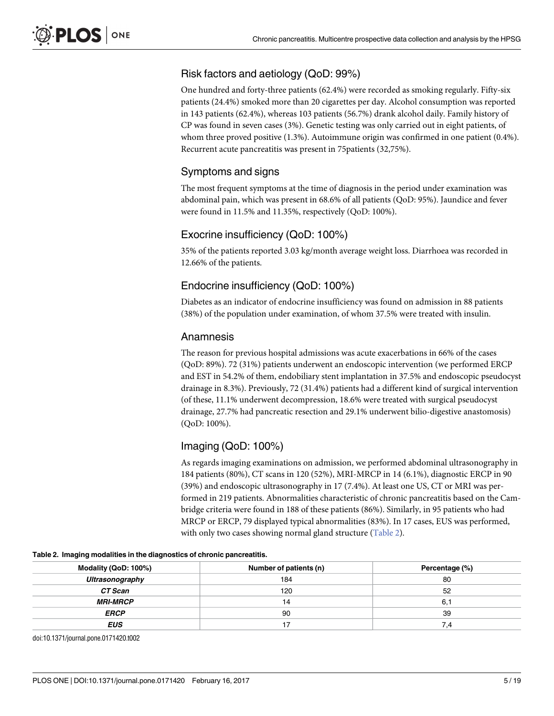# Risk factors and aetiology (QoD: 99%)

One hundred and forty-three patients (62.4%) were recorded as smoking regularly. Fifty-six patients (24.4%) smoked more than 20 cigarettes per day. Alcohol consumption was reported in 143 patients (62.4%), whereas 103 patients (56.7%) drank alcohol daily. Family history of CP was found in seven cases (3%). Genetic testing was only carried out in eight patients, of whom three proved positive (1.3%). Autoimmune origin was confirmed in one patient (0.4%). Recurrent acute pancreatitis was present in 75patients (32,75%).

# Symptoms and signs

The most frequent symptoms at the time of diagnosis in the period under examination was abdominal pain, which was present in 68.6% of all patients (QoD: 95%). Jaundice and fever were found in 11.5% and 11.35%, respectively (QoD: 100%).

# Exocrine insufficiency (QoD: 100%)

35% of the patients reported 3.03 kg/month average weight loss. Diarrhoea was recorded in 12.66% of the patients.

# Endocrine insufficiency (QoD: 100%)

Diabetes as an indicator of endocrine insufficiency was found on admission in 88 patients (38%) of the population under examination, of whom 37.5% were treated with insulin.

# Anamnesis

The reason for previous hospital admissions was acute exacerbations in 66% of the cases (QoD: 89%). 72 (31%) patients underwent an endoscopic intervention (we performed ERCP and EST in 54.2% of them, endobiliary stent implantation in 37.5% and endoscopic pseudocyst drainage in 8.3%). Previously, 72 (31.4%) patients had a different kind of surgical intervention (of these, 11.1% underwent decompression, 18.6% were treated with surgical pseudocyst drainage, 27.7% had pancreatic resection and 29.1% underwent bilio-digestive anastomosis) (QoD: 100%).

# Imaging (QoD: 100%)

As regards imaging examinations on admission, we performed abdominal ultrasonography in 184 patients (80%), CT scans in 120 (52%), MRI-MRCP in 14 (6.1%), diagnostic ERCP in 90 (39%) and endoscopic ultrasonography in 17 (7.4%). At least one US, CT or MRI was performed in 219 patients. Abnormalities characteristic of chronic pancreatitis based on the Cambridge criteria were found in 188 of these patients (86%). Similarly, in 95 patients who had MRCP or ERCP, 79 displayed typical abnormalities (83%). In 17 cases, EUS was performed, with only two cases showing normal gland structure (Table 2).

| Modality (QoD: 100%)   | Number of patients (n) | Percentage (%) |
|------------------------|------------------------|----------------|
| Ultrasonography        | 184                    | 80             |
| CT Scan                | 120                    | 52             |
| <i><b>MRI-MRCP</b></i> | 14                     | 6.1            |
| <b>ERCP</b>            | 90                     | 39             |
| <b>EUS</b>             |                        | 7.4            |

**Table 2. Imaging modalities in the diagnostics of chronic pancreatitis.**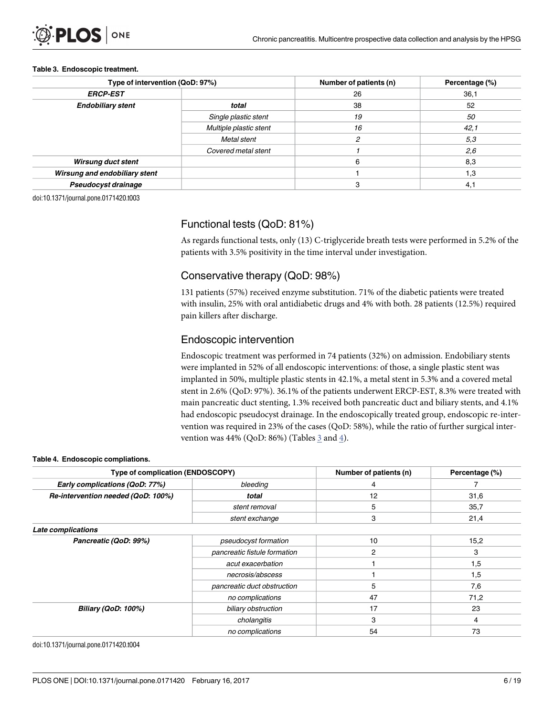#### **Table 3. Endoscopic treatment.**

| Type of intervention (QoD: 97%) |                        | Number of patients (n) | Percentage (%) |
|---------------------------------|------------------------|------------------------|----------------|
| <b>ERCP-EST</b>                 |                        | 26                     | 36,1           |
| <b>Endobiliary stent</b>        | total                  | 38                     | 52             |
|                                 | Single plastic stent   | 19                     | 50             |
|                                 | Multiple plastic stent | 16                     | 42,1           |
|                                 | Metal stent            |                        | 5,3            |
|                                 | Covered metal stent    |                        | 2,6            |
| <b>Wirsung duct stent</b>       |                        | 6                      | 8,3            |
| Wirsung and endobiliary stent   |                        |                        | 1.3            |
| Pseudocyst drainage             |                        | 3                      | $4^{\circ}$    |

doi:10.1371/journal.pone.0171420.t003

# Functional tests (QoD: 81%)

As regards functional tests, only (13) C-triglyceride breath tests were performed in 5.2% of the patients with 3.5% positivity in the time interval under investigation.

# Conservative therapy (QoD: 98%)

131 patients (57%) received enzyme substitution. 71% of the diabetic patients were treated with insulin, 25% with oral antidiabetic drugs and 4% with both. 28 patients (12.5%) required pain killers after discharge.

## Endoscopic intervention

Endoscopic treatment was performed in 74 patients (32%) on admission. Endobiliary stents were implanted in 52% of all endoscopic interventions: of those, a single plastic stent was implanted in 50%, multiple plastic stents in 42.1%, a metal stent in 5.3% and a covered metal stent in 2.6% (QoD: 97%). 36.1% of the patients underwent ERCP-EST, 8.3% were treated with main pancreatic duct stenting, 1.3% received both pancreatic duct and biliary stents, and 4.1% had endoscopic pseudocyst drainage. In the endoscopically treated group, endoscopic re-intervention was required in 23% of the cases (QoD: 58%), while the ratio of further surgical intervention was 44% (QoD: 86%) (Tables  $\frac{3}{2}$  and  $\frac{4}{2}$ ).

#### **Table 4. Endoscopic compliations.**

| Type of complication (ENDOSCOPY)   |                              | Number of patients (n) | Percentage (%) |
|------------------------------------|------------------------------|------------------------|----------------|
| Early complications (QoD: 77%)     | bleeding                     | 4                      |                |
| Re-intervention needed (QoD: 100%) | total                        | 12                     | 31,6           |
|                                    | stent removal                | 5                      | 35,7           |
|                                    | stent exchange               | 3                      | 21,4           |
| Late complications                 |                              |                        |                |
| Pancreatic (QoD: 99%)              | pseudocyst formation         | 10                     | 15,2           |
|                                    | pancreatic fistule formation | 2                      | 3              |
|                                    | acut exacerbation            |                        | 1,5            |
|                                    | necrosis/abscess             |                        | 1,5            |
|                                    | pancreatic duct obstruction  | 5                      | 7,6            |
|                                    | no complications             | 47                     | 71,2           |
| <b>Biliary (QoD: 100%)</b>         | biliary obstruction          | 17                     | 23             |
|                                    | cholangitis                  | 3                      | 4              |
|                                    | no complications             | 54                     | 73             |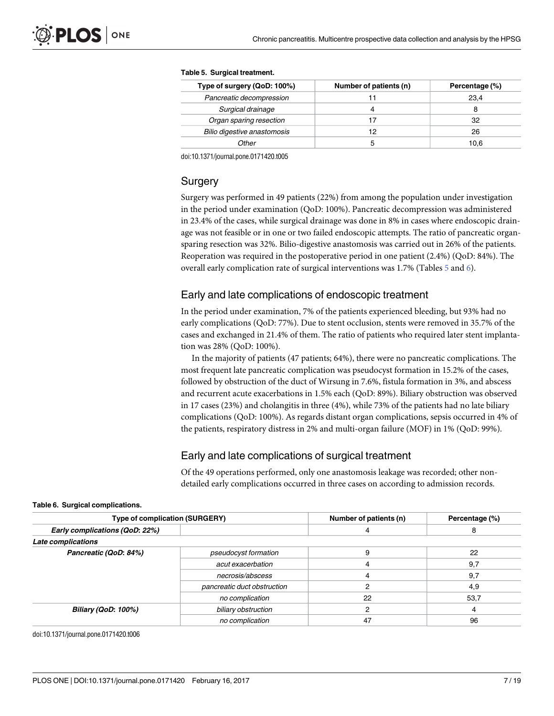#### **Table 5. Surgical treatment.**

| Type of surgery (QoD: 100%) | Number of patients (n) | Percentage (%) |
|-----------------------------|------------------------|----------------|
| Pancreatic decompression    | 11                     | 23.4           |
| Surgical drainage           | 4                      |                |
| Organ sparing resection     | 17                     | 32             |
| Bilio digestive anastomosis | 12                     | 26             |
| Other                       |                        | 10.6           |

doi:10.1371/journal.pone.0171420.t005

## Surgery

Surgery was performed in 49 patients (22%) from among the population under investigation in the period under examination (QoD: 100%). Pancreatic decompression was administered in 23.4% of the cases, while surgical drainage was done in 8% in cases where endoscopic drainage was not feasible or in one or two failed endoscopic attempts. The ratio of pancreatic organsparing resection was 32%. Bilio-digestive anastomosis was carried out in 26% of the patients. Reoperation was required in the postoperative period in one patient (2.4%) (QoD: 84%). The overall early complication rate of surgical interventions was 1.7% (Tables 5 and 6).

# Early and late complications of endoscopic treatment

In the period under examination, 7% of the patients experienced bleeding, but 93% had no early complications (QoD: 77%). Due to stent occlusion, stents were removed in 35.7% of the cases and exchanged in 21.4% of them. The ratio of patients who required later stent implantation was 28% (QoD: 100%).

In the majority of patients (47 patients; 64%), there were no pancreatic complications. The most frequent late pancreatic complication was pseudocyst formation in 15.2% of the cases, followed by obstruction of the duct of Wirsung in 7.6%, fistula formation in 3%, and abscess and recurrent acute exacerbations in 1.5% each (QoD: 89%). Biliary obstruction was observed in 17 cases (23%) and cholangitis in three (4%), while 73% of the patients had no late biliary complications (QoD: 100%). As regards distant organ complications, sepsis occurred in 4% of the patients, respiratory distress in 2% and multi-organ failure (MOF) in 1% (QoD: 99%).

# Early and late complications of surgical treatment

Of the 49 operations performed, only one anastomosis leakage was recorded; other nondetailed early complications occurred in three cases on according to admission records.

| Type of complication (SURGERY) |                             | Number of patients (n) | Percentage (%) |  |
|--------------------------------|-----------------------------|------------------------|----------------|--|
| Early complications (QoD: 22%) |                             |                        | 8              |  |
| Late complications             |                             |                        |                |  |
| Pancreatic (QoD: 84%)          | pseudocyst formation        |                        | 22             |  |
|                                | acut exacerbation           |                        | 9,7            |  |
|                                | necrosis/abscess            |                        | 9,7            |  |
|                                | pancreatic duct obstruction |                        | 4,9            |  |
|                                | no complication             | 22                     | 53,7           |  |
| <b>Biliary (QoD: 100%)</b>     | biliary obstruction         |                        |                |  |
|                                | no complication             | 47                     | 96             |  |

#### **Table 6. Surgical complications.**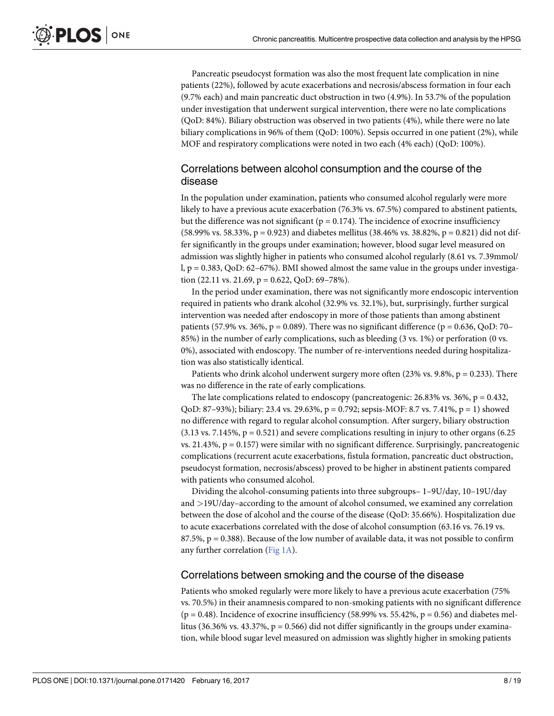<span id="page-7-0"></span>Pancreatic pseudocyst formation was also the most frequent late complication in nine patients (22%), followed by acute exacerbations and necrosis/abscess formation in four each (9.7% each) and main pancreatic duct obstruction in two (4.9%). In 53.7% of the population under investigation that underwent surgical intervention, there were no late complications (QoD: 84%). Biliary obstruction was observed in two patients (4%), while there were no late biliary complications in 96% of them (QoD: 100%). Sepsis occurred in one patient (2%), while MOF and respiratory complications were noted in two each (4% each) (QoD: 100%).

# Correlations between alcohol consumption and the course of the disease

In the population under examination, patients who consumed alcohol regularly were more likely to have a previous acute exacerbation (76.3% vs. 67.5%) compared to abstinent patients, but the difference was not significant ( $p = 0.174$ ). The incidence of exocrine insufficiency (58.99% vs. 58.33%,  $p = 0.923$ ) and diabetes mellitus (38.46% vs. 38.82%,  $p = 0.821$ ) did not differ significantly in the groups under examination; however, blood sugar level measured on admission was slightly higher in patients who consumed alcohol regularly (8.61 vs. 7.39mmol/ l, p = 0.383, QoD: 62–67%). BMI showed almost the same value in the groups under investigation (22.11 vs. 21.69,  $p = 0.622$ , QoD: 69-78%).

In the period under examination, there was not significantly more endoscopic intervention required in patients who drank alcohol (32.9% vs. 32.1%), but, surprisingly, further surgical intervention was needed after endoscopy in more of those patients than among abstinent patients (57.9% vs. 36%,  $p = 0.089$ ). There was no significant difference ( $p = 0.636$ , QoD: 70– 85%) in the number of early complications, such as bleeding (3 vs. 1%) or perforation (0 vs. 0%), associated with endoscopy. The number of re-interventions needed during hospitalization was also statistically identical.

Patients who drink alcohol underwent surgery more often  $(23\% \text{ vs. } 9.8\%, \text{ p} = 0.233)$ . There was no difference in the rate of early complications.

The late complications related to endoscopy (pancreatogenic: 26.83% vs. 36%,  $p = 0.432$ , QoD: 87–93%); biliary: 23.4 vs. 29.63%, p = 0.792; sepsis-MOF: 8.7 vs. 7.41%, p = 1) showed no difference with regard to regular alcohol consumption. After surgery, biliary obstruction  $(3.13 \text{ vs. } 7.145\%, p = 0.521)$  and severe complications resulting in injury to other organs  $(6.25$ vs. 21.43%,  $p = 0.157$ ) were similar with no significant difference. Surprisingly, pancreatogenic complications (recurrent acute exacerbations, fistula formation, pancreatic duct obstruction, pseudocyst formation, necrosis/abscess) proved to be higher in abstinent patients compared with patients who consumed alcohol.

Dividing the alcohol-consuming patients into three subgroups– 1–9U/day, 10–19U/day and *>*19U/day–according to the amount of alcohol consumed, we examined any correlation between the dose of alcohol and the course of the disease (QoD: 35.66%). Hospitalization due to acute exacerbations correlated with the dose of alcohol consumption (63.16 vs. 76.19 vs.  $87.5\%$ ,  $p = 0.388$ ). Because of the low number of available data, it was not possible to confirm any further correlation [\(Fig](#page-8-0) 1A).

## Correlations between smoking and the course of the disease

Patients who smoked regularly were more likely to have a previous acute exacerbation (75% vs. 70.5%) in their anamnesis compared to non-smoking patients with no significant difference  $(p = 0.48)$ . Incidence of exocrine insufficiency (58.99% vs. 55.42%,  $p = 0.56$ ) and diabetes mellitus (36.36% vs. 43.37%,  $p = 0.566$ ) did not differ significantly in the groups under examination, while blood sugar level measured on admission was slightly higher in smoking patients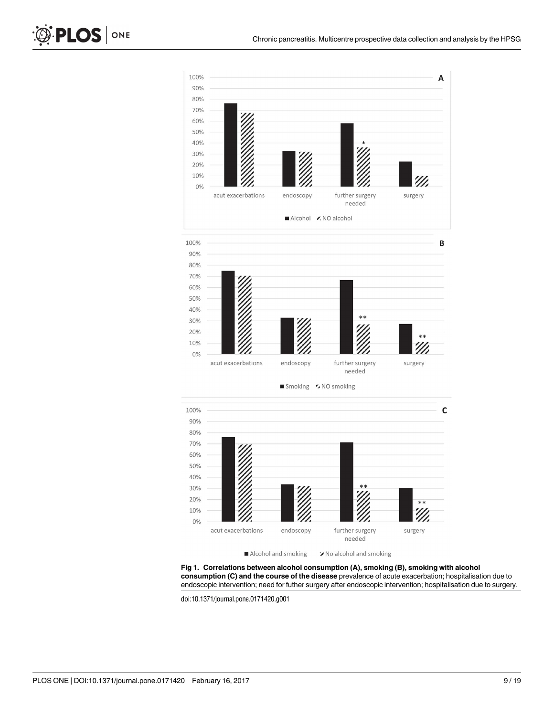



Smoking 5 NO smoking



Alcohol and smoking X No alcohol and smoking

**[Fig](#page-7-0) 1. Correlations between alcohol consumption (A), smoking (B), smoking with alcohol consumption (C) and the course of the disease** prevalence of acute exacerbation; hospitalisation due to endoscopic intervention; need for futher surgery after endoscopic intervention; hospitalisation due to surgery.

doi:10.1371/journal.pone.0171420.g001

<span id="page-8-0"></span>PLOS | ONE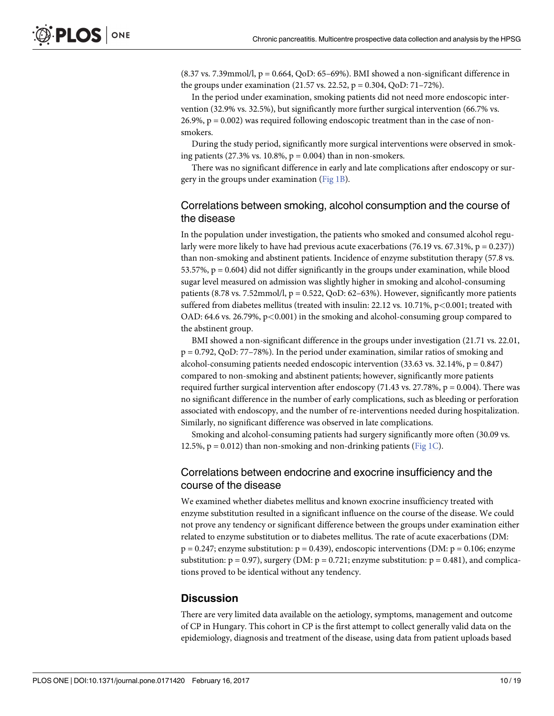$(8.37 \text{ vs. } 7.39 \text{mmol/l}, p = 0.664, QoD: 65–69\%).$  BMI showed a non-significant difference in the groups under examination (21.57 vs. 22.52, p = 0.304, QoD: 71–72%).

In the period under examination, smoking patients did not need more endoscopic intervention (32.9% vs. 32.5%), but significantly more further surgical intervention (66.7% vs. 26.9%, p = 0.002) was required following endoscopic treatment than in the case of nonsmokers.

During the study period, significantly more surgical interventions were observed in smoking patients (27.3% vs. 10.8%,  $p = 0.004$ ) than in non-smokers.

There was no significant difference in early and late complications after endoscopy or surgery in the groups under examination [\(Fig](#page-8-0) 1B).

# Correlations between smoking, alcohol consumption and the course of the disease

In the population under investigation, the patients who smoked and consumed alcohol regularly were more likely to have had previous acute exacerbations (76.19 vs. 67.31%,  $p = 0.237$ )) than non-smoking and abstinent patients. Incidence of enzyme substitution therapy (57.8 vs. 53.57%,  $p = 0.604$ ) did not differ significantly in the groups under examination, while blood sugar level measured on admission was slightly higher in smoking and alcohol-consuming patients (8.78 vs. 7.52mmol/l,  $p = 0.522$ , QoD: 62–63%). However, significantly more patients suffered from diabetes mellitus (treated with insulin: 22.12 vs. 10.71%, p*<*0.001; treated with OAD: 64.6 vs. 26.79%, p*<*0.001) in the smoking and alcohol-consuming group compared to the abstinent group.

BMI showed a non-significant difference in the groups under investigation (21.71 vs. 22.01, p = 0.792, QoD: 77–78%). In the period under examination, similar ratios of smoking and alcohol-consuming patients needed endoscopic intervention  $(33.63 \text{ vs. } 32.14\% , p = 0.847)$ compared to non-smoking and abstinent patients; however, significantly more patients required further surgical intervention after endoscopy (71.43 vs. 27.78%,  $p = 0.004$ ). There was no significant difference in the number of early complications, such as bleeding or perforation associated with endoscopy, and the number of re-interventions needed during hospitalization. Similarly, no significant difference was observed in late complications.

Smoking and alcohol-consuming patients had surgery significantly more often (30.09 vs. 12.5%,  $p = 0.012$ ) than non-smoking and non-drinking patients ([Fig](#page-8-0) 1C).

# Correlations between endocrine and exocrine insufficiency and the course of the disease

We examined whether diabetes mellitus and known exocrine insufficiency treated with enzyme substitution resulted in a significant influence on the course of the disease. We could not prove any tendency or significant difference between the groups under examination either related to enzyme substitution or to diabetes mellitus. The rate of acute exacerbations (DM:  $p = 0.247$ ; enzyme substitution:  $p = 0.439$ ), endoscopic interventions (DM:  $p = 0.106$ ; enzyme substitution:  $p = 0.97$ , surgery (DM:  $p = 0.721$ ; enzyme substitution:  $p = 0.481$ ), and complications proved to be identical without any tendency.

# **Discussion**

There are very limited data available on the aetiology, symptoms, management and outcome of CP in Hungary. This cohort in CP is the first attempt to collect generally valid data on the epidemiology, diagnosis and treatment of the disease, using data from patient uploads based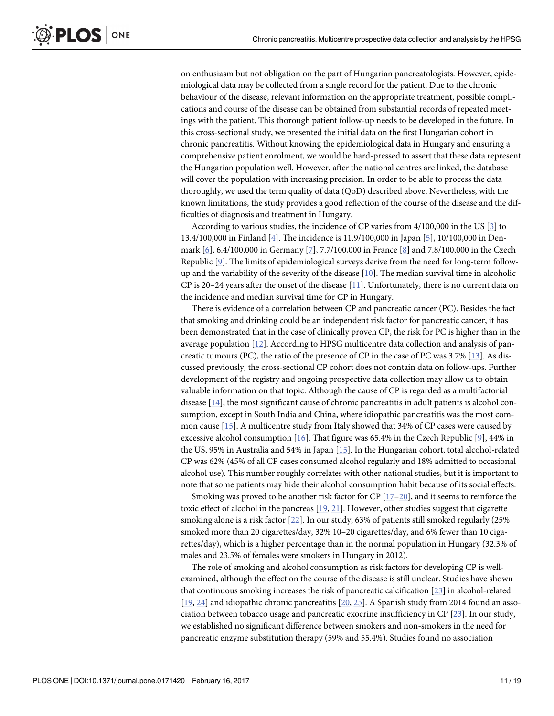<span id="page-10-0"></span>on enthusiasm but not obligation on the part of Hungarian pancreatologists. However, epidemiological data may be collected from a single record for the patient. Due to the chronic behaviour of the disease, relevant information on the appropriate treatment, possible complications and course of the disease can be obtained from substantial records of repeated meetings with the patient. This thorough patient follow-up needs to be developed in the future. In this cross-sectional study, we presented the initial data on the first Hungarian cohort in chronic pancreatitis. Without knowing the epidemiological data in Hungary and ensuring a comprehensive patient enrolment, we would be hard-pressed to assert that these data represent the Hungarian population well. However, after the national centres are linked, the database will cover the population with increasing precision. In order to be able to process the data thoroughly, we used the term quality of data (QoD) described above. Nevertheless, with the known limitations, the study provides a good reflection of the course of the disease and the difficulties of diagnosis and treatment in Hungary.

According to various studies, the incidence of CP varies from 4/100,000 in the US [\[3](#page-15-0)] to 13.4/100,000 in Finland [[4](#page-15-0)]. The incidence is 11.9/100,000 in Japan [[5\]](#page-15-0), 10/100,000 in Denmark [[6\]](#page-15-0), 6.4/100,000 in Germany [\[7\]](#page-15-0), 7.7/100,000 in France [\[8\]](#page-15-0) and 7.8/100,000 in the Czech Republic [[9\]](#page-15-0). The limits of epidemiological surveys derive from the need for long-term followup and the variability of the severity of the disease  $[10]$  $[10]$  $[10]$ . The median survival time in alcoholic CP is 20–24 years after the onset of the disease [\[11](#page-16-0)]. Unfortunately, there is no current data on the incidence and median survival time for CP in Hungary.

There is evidence of a correlation between CP and pancreatic cancer (PC). Besides the fact that smoking and drinking could be an independent risk factor for pancreatic cancer, it has been demonstrated that in the case of clinically proven CP, the risk for PC is higher than in the average population [[12](#page-16-0)]. According to HPSG multicentre data collection and analysis of pancreatic tumours (PC), the ratio of the presence of CP in the case of PC was 3.7% [[13](#page-16-0)]. As discussed previously, the cross-sectional CP cohort does not contain data on follow-ups. Further development of the registry and ongoing prospective data collection may allow us to obtain valuable information on that topic. Although the cause of CP is regarded as a multifactorial disease [[14](#page-16-0)], the most significant cause of chronic pancreatitis in adult patients is alcohol consumption, except in South India and China, where idiopathic pancreatitis was the most common cause [\[15\]](#page-16-0). A multicentre study from Italy showed that 34% of CP cases were caused by excessive alcohol consumption [\[16\]](#page-16-0). That figure was 65.4% in the Czech Republic [\[9\]](#page-15-0), 44% in the US, 95% in Australia and 54% in Japan [[15](#page-16-0)]. In the Hungarian cohort, total alcohol-related CP was 62% (45% of all CP cases consumed alcohol regularly and 18% admitted to occasional alcohol use). This number roughly correlates with other national studies, but it is important to note that some patients may hide their alcohol consumption habit because of its social effects.

Smoking was proved to be another risk factor for CP  $[17-20]$ , and it seems to reinforce the toxic effect of alcohol in the pancreas [[19](#page-16-0), [21\]](#page-16-0). However, other studies suggest that cigarette smoking alone is a risk factor [[22](#page-16-0)]. In our study, 63% of patients still smoked regularly (25% smoked more than 20 cigarettes/day, 32% 10–20 cigarettes/day, and 6% fewer than 10 cigarettes/day), which is a higher percentage than in the normal population in Hungary (32.3% of males and 23.5% of females were smokers in Hungary in 2012).

The role of smoking and alcohol consumption as risk factors for developing CP is wellexamined, although the effect on the course of the disease is still unclear. Studies have shown that continuous smoking increases the risk of pancreatic calcification [[23](#page-16-0)] in alcohol-related [\[19,](#page-16-0) [24\]](#page-16-0) and idiopathic chronic pancreatitis [\[20](#page-16-0), [25](#page-16-0)]. A Spanish study from 2014 found an association between tobacco usage and pancreatic exocrine insufficiency in CP [\[23\]](#page-16-0). In our study, we established no significant difference between smokers and non-smokers in the need for pancreatic enzyme substitution therapy (59% and 55.4%). Studies found no association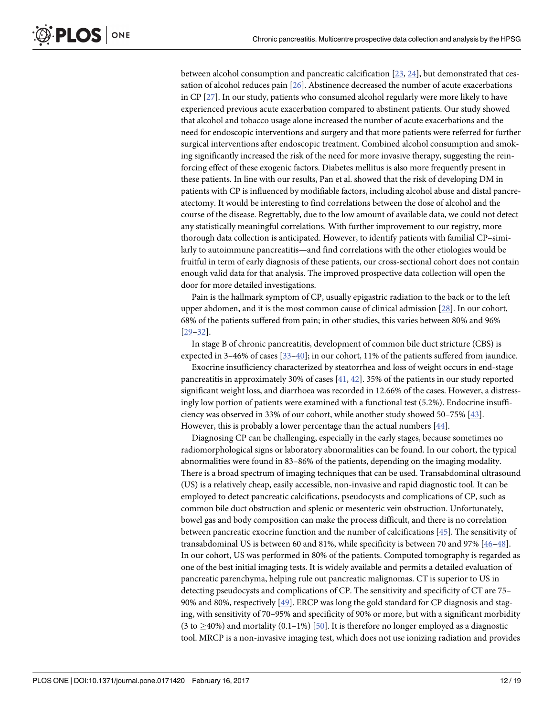<span id="page-11-0"></span>between alcohol consumption and pancreatic calcification [[23](#page-16-0), [24](#page-16-0)], but demonstrated that cessation of alcohol reduces pain [[26](#page-16-0)]. Abstinence decreased the number of acute exacerbations in CP [\[27\]](#page-16-0). In our study, patients who consumed alcohol regularly were more likely to have experienced previous acute exacerbation compared to abstinent patients. Our study showed that alcohol and tobacco usage alone increased the number of acute exacerbations and the need for endoscopic interventions and surgery and that more patients were referred for further surgical interventions after endoscopic treatment. Combined alcohol consumption and smoking significantly increased the risk of the need for more invasive therapy, suggesting the reinforcing effect of these exogenic factors. Diabetes mellitus is also more frequently present in these patients. In line with our results, Pan et al. showed that the risk of developing DM in patients with CP is influenced by modifiable factors, including alcohol abuse and distal pancreatectomy. It would be interesting to find correlations between the dose of alcohol and the course of the disease. Regrettably, due to the low amount of available data, we could not detect any statistically meaningful correlations. With further improvement to our registry, more thorough data collection is anticipated. However, to identify patients with familial CP–similarly to autoimmune pancreatitis—and find correlations with the other etiologies would be fruitful in term of early diagnosis of these patients, our cross-sectional cohort does not contain enough valid data for that analysis. The improved prospective data collection will open the door for more detailed investigations.

Pain is the hallmark symptom of CP, usually epigastric radiation to the back or to the left upper abdomen, and it is the most common cause of clinical admission [\[28\]](#page-16-0). In our cohort, 68% of the patients suffered from pain; in other studies, this varies between 80% and 96% [\[29–32\]](#page-16-0).

In stage B of chronic pancreatitis, development of common bile duct stricture (CBS) is expected in 3–46% of cases [[33–40\]](#page-17-0); in our cohort, 11% of the patients suffered from jaundice.

Exocrine insufficiency characterized by steatorrhea and loss of weight occurs in end-stage pancreatitis in approximately 30% of cases [[41](#page-17-0), [42](#page-17-0)]. 35% of the patients in our study reported significant weight loss, and diarrhoea was recorded in 12.66% of the cases. However, a distressingly low portion of patients were examined with a functional test (5.2%). Endocrine insufficiency was observed in 33% of our cohort, while another study showed 50–75% [\[43\]](#page-17-0). However, this is probably a lower percentage than the actual numbers [\[44\]](#page-17-0).

Diagnosing CP can be challenging, especially in the early stages, because sometimes no radiomorphological signs or laboratory abnormalities can be found. In our cohort, the typical abnormalities were found in 83–86% of the patients, depending on the imaging modality. There is a broad spectrum of imaging techniques that can be used. Transabdominal ultrasound (US) is a relatively cheap, easily accessible, non-invasive and rapid diagnostic tool. It can be employed to detect pancreatic calcifications, pseudocysts and complications of CP, such as common bile duct obstruction and splenic or mesenteric vein obstruction. Unfortunately, bowel gas and body composition can make the process difficult, and there is no correlation between pancreatic exocrine function and the number of calcifications [[45](#page-17-0)]. The sensitivity of transabdominal US is between 60 and 81%, while specificity is between 70 and 97% [\[46–48](#page-17-0)]. In our cohort, US was performed in 80% of the patients. Computed tomography is regarded as one of the best initial imaging tests. It is widely available and permits a detailed evaluation of pancreatic parenchyma, helping rule out pancreatic malignomas. CT is superior to US in detecting pseudocysts and complications of CP. The sensitivity and specificity of CT are 75– 90% and 80%, respectively [\[49\]](#page-17-0). ERCP was long the gold standard for CP diagnosis and staging, with sensitivity of 70–95% and specificity of 90% or more, but with a significant morbidity (3 to  $\geq$ 40%) and mortality (0.1–1%) [\[50\]](#page-17-0). It is therefore no longer employed as a diagnostic tool. MRCP is a non-invasive imaging test, which does not use ionizing radiation and provides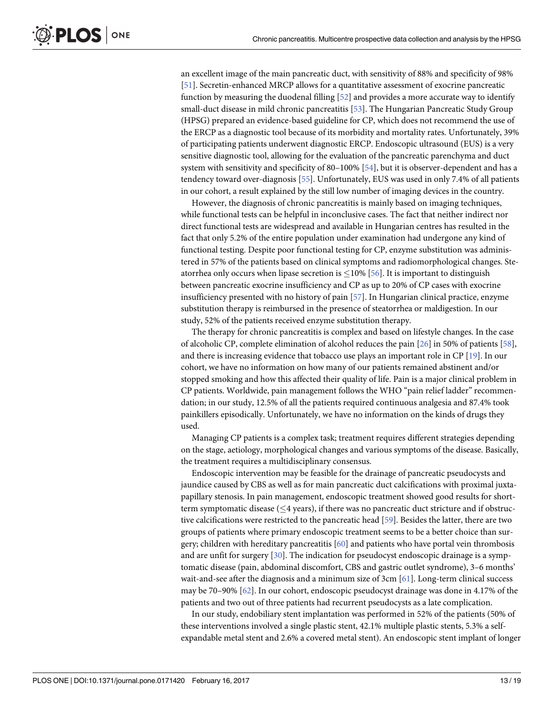<span id="page-12-0"></span>an excellent image of the main pancreatic duct, with sensitivity of 88% and specificity of 98% [\[51\]](#page-17-0). Secretin-enhanced MRCP allows for a quantitative assessment of exocrine pancreatic function by measuring the duodenal filling [[52](#page-17-0)] and provides a more accurate way to identify small-duct disease in mild chronic pancreatitis [[53](#page-17-0)]. The Hungarian Pancreatic Study Group (HPSG) prepared an evidence-based guideline for CP, which does not recommend the use of the ERCP as a diagnostic tool because of its morbidity and mortality rates. Unfortunately, 39% of participating patients underwent diagnostic ERCP. Endoscopic ultrasound (EUS) is a very sensitive diagnostic tool, allowing for the evaluation of the pancreatic parenchyma and duct system with sensitivity and specificity of 80–100% [\[54\]](#page-17-0), but it is observer-dependent and has a tendency toward over-diagnosis [\[55\]](#page-17-0). Unfortunately, EUS was used in only 7.4% of all patients in our cohort, a result explained by the still low number of imaging devices in the country.

However, the diagnosis of chronic pancreatitis is mainly based on imaging techniques, while functional tests can be helpful in inconclusive cases. The fact that neither indirect nor direct functional tests are widespread and available in Hungarian centres has resulted in the fact that only 5.2% of the entire population under examination had undergone any kind of functional testing. Despite poor functional testing for CP, enzyme substitution was administered in 57% of the patients based on clinical symptoms and radiomorphological changes. Steatorrhea only occurs when lipase secretion is  $\leq$ 10% [\[56\]](#page-17-0). It is important to distinguish between pancreatic exocrine insufficiency and CP as up to 20% of CP cases with exocrine insufficiency presented with no history of pain [\[57\]](#page-18-0). In Hungarian clinical practice, enzyme substitution therapy is reimbursed in the presence of steatorrhea or maldigestion. In our study, 52% of the patients received enzyme substitution therapy.

The therapy for chronic pancreatitis is complex and based on lifestyle changes. In the case of alcoholic CP, complete elimination of alcohol reduces the pain [\[26\]](#page-16-0) in 50% of patients [\[58\]](#page-18-0), and there is increasing evidence that tobacco use plays an important role in CP [\[19\]](#page-16-0). In our cohort, we have no information on how many of our patients remained abstinent and/or stopped smoking and how this affected their quality of life. Pain is a major clinical problem in CP patients. Worldwide, pain management follows the WHO "pain relief ladder" recommendation; in our study, 12.5% of all the patients required continuous analgesia and 87.4% took painkillers episodically. Unfortunately, we have no information on the kinds of drugs they used.

Managing CP patients is a complex task; treatment requires different strategies depending on the stage, aetiology, morphological changes and various symptoms of the disease. Basically, the treatment requires a multidisciplinary consensus.

Endoscopic intervention may be feasible for the drainage of pancreatic pseudocysts and jaundice caused by CBS as well as for main pancreatic duct calcifications with proximal juxtapapillary stenosis. In pain management, endoscopic treatment showed good results for shortterm symptomatic disease  $( $4$  years), if there was no pancreatic duct stricture and if obstruc$ tive calcifications were restricted to the pancreatic head [\[59\]](#page-18-0). Besides the latter, there are two groups of patients where primary endoscopic treatment seems to be a better choice than surgery; children with hereditary pancreatitis [\[60\]](#page-18-0) and patients who have portal vein thrombosis and are unfit for surgery [[30](#page-16-0)]. The indication for pseudocyst endoscopic drainage is a symptomatic disease (pain, abdominal discomfort, CBS and gastric outlet syndrome), 3–6 months' wait-and-see after the diagnosis and a minimum size of 3cm [\[61\]](#page-18-0). Long-term clinical success may be 70–90% [\[62\]](#page-18-0). In our cohort, endoscopic pseudocyst drainage was done in 4.17% of the patients and two out of three patients had recurrent pseudocysts as a late complication.

In our study, endobiliary stent implantation was performed in 52% of the patients (50% of these interventions involved a single plastic stent, 42.1% multiple plastic stents, 5.3% a selfexpandable metal stent and 2.6% a covered metal stent). An endoscopic stent implant of longer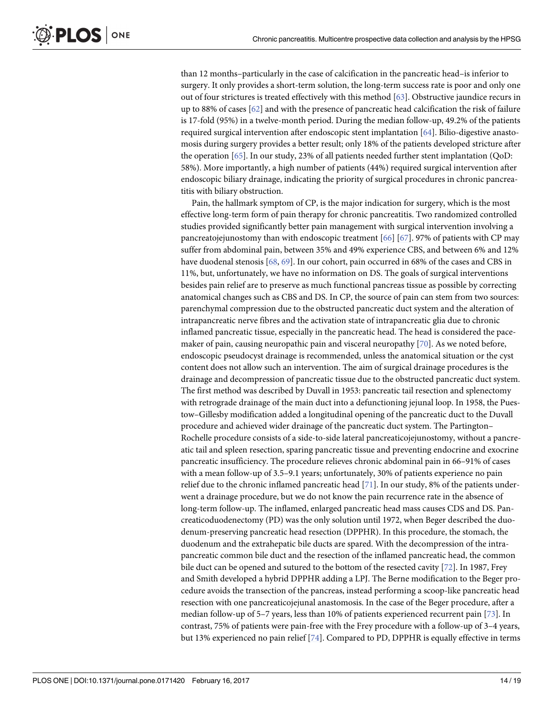<span id="page-13-0"></span>than 12 months–particularly in the case of calcification in the pancreatic head–is inferior to surgery. It only provides a short-term solution, the long-term success rate is poor and only one out of four strictures is treated effectively with this method [[63](#page-18-0)]. Obstructive jaundice recurs in up to 88% of cases [[62](#page-18-0)] and with the presence of pancreatic head calcification the risk of failure is 17-fold (95%) in a twelve-month period. During the median follow-up, 49.2% of the patients required surgical intervention after endoscopic stent implantation [[64](#page-18-0)]. Bilio-digestive anastomosis during surgery provides a better result; only 18% of the patients developed stricture after the operation [\[65\]](#page-18-0). In our study, 23% of all patients needed further stent implantation (QoD: 58%). More importantly, a high number of patients (44%) required surgical intervention after endoscopic biliary drainage, indicating the priority of surgical procedures in chronic pancreatitis with biliary obstruction.

Pain, the hallmark symptom of CP, is the major indication for surgery, which is the most effective long-term form of pain therapy for chronic pancreatitis. Two randomized controlled studies provided significantly better pain management with surgical intervention involving a pancreatojejunostomy than with endoscopic treatment  $[66]$  $[66]$  $[66]$   $[67]$ . 97% of patients with CP may suffer from abdominal pain, between 35% and 49% experience CBS, and between 6% and 12% have duodenal stenosis [\[68,](#page-18-0) [69\]](#page-18-0). In our cohort, pain occurred in 68% of the cases and CBS in 11%, but, unfortunately, we have no information on DS. The goals of surgical interventions besides pain relief are to preserve as much functional pancreas tissue as possible by correcting anatomical changes such as CBS and DS. In CP, the source of pain can stem from two sources: parenchymal compression due to the obstructed pancreatic duct system and the alteration of intrapancreatic nerve fibres and the activation state of intrapancreatic glia due to chronic inflamed pancreatic tissue, especially in the pancreatic head. The head is considered the pacemaker of pain, causing neuropathic pain and visceral neuropathy [[70](#page-18-0)]. As we noted before, endoscopic pseudocyst drainage is recommended, unless the anatomical situation or the cyst content does not allow such an intervention. The aim of surgical drainage procedures is the drainage and decompression of pancreatic tissue due to the obstructed pancreatic duct system. The first method was described by Duvall in 1953: pancreatic tail resection and splenectomy with retrograde drainage of the main duct into a defunctioning jejunal loop. In 1958, the Puestow–Gillesby modification added a longitudinal opening of the pancreatic duct to the Duvall procedure and achieved wider drainage of the pancreatic duct system. The Partington– Rochelle procedure consists of a side-to-side lateral pancreaticojejunostomy, without a pancreatic tail and spleen resection, sparing pancreatic tissue and preventing endocrine and exocrine pancreatic insufficiency. The procedure relieves chronic abdominal pain in 66–91% of cases with a mean follow-up of 3.5–9.1 years; unfortunately, 30% of patients experience no pain relief due to the chronic inflamed pancreatic head [\[71\]](#page-18-0). In our study, 8% of the patients underwent a drainage procedure, but we do not know the pain recurrence rate in the absence of long-term follow-up. The inflamed, enlarged pancreatic head mass causes CDS and DS. Pancreaticoduodenectomy (PD) was the only solution until 1972, when Beger described the duodenum-preserving pancreatic head resection (DPPHR). In this procedure, the stomach, the duodenum and the extrahepatic bile ducts are spared. With the decompression of the intrapancreatic common bile duct and the resection of the inflamed pancreatic head, the common bile duct can be opened and sutured to the bottom of the resected cavity [[72](#page-18-0)]. In 1987, Frey and Smith developed a hybrid DPPHR adding a LPJ. The Berne modification to the Beger procedure avoids the transection of the pancreas, instead performing a scoop-like pancreatic head resection with one pancreaticojejunal anastomosis. In the case of the Beger procedure, after a median follow-up of 5–7 years, less than 10% of patients experienced recurrent pain [\[73\]](#page-18-0). In contrast, 75% of patients were pain-free with the Frey procedure with a follow-up of 3–4 years, but 13% experienced no pain relief [[74](#page-18-0)]. Compared to PD, DPPHR is equally effective in terms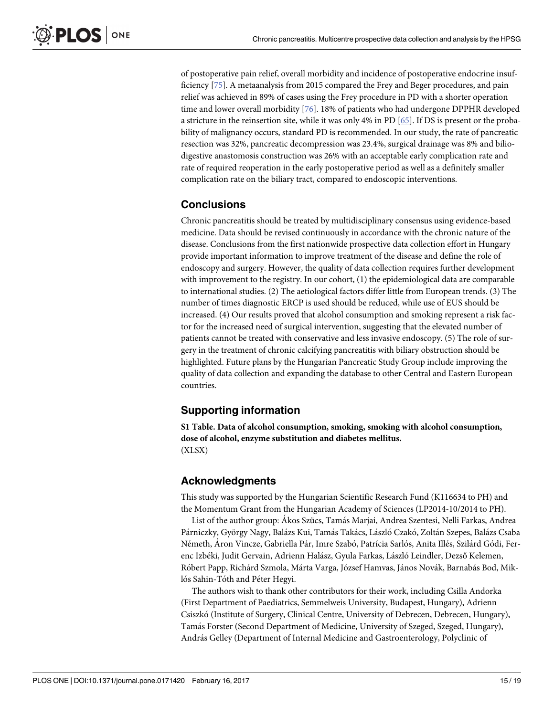<span id="page-14-0"></span>of postoperative pain relief, overall morbidity and incidence of postoperative endocrine insufficiency [[75](#page-18-0)]. A metaanalysis from 2015 compared the Frey and Beger procedures, and pain relief was achieved in 89% of cases using the Frey procedure in PD with a shorter operation time and lower overall morbidity [[76](#page-18-0)]. 18% of patients who had undergone DPPHR developed a stricture in the reinsertion site, while it was only 4% in PD [\[65](#page-18-0)]. If DS is present or the probability of malignancy occurs, standard PD is recommended. In our study, the rate of pancreatic resection was 32%, pancreatic decompression was 23.4%, surgical drainage was 8% and biliodigestive anastomosis construction was 26% with an acceptable early complication rate and rate of required reoperation in the early postoperative period as well as a definitely smaller complication rate on the biliary tract, compared to endoscopic interventions.

# **Conclusions**

Chronic pancreatitis should be treated by multidisciplinary consensus using evidence-based medicine. Data should be revised continuously in accordance with the chronic nature of the disease. Conclusions from the first nationwide prospective data collection effort in Hungary provide important information to improve treatment of the disease and define the role of endoscopy and surgery. However, the quality of data collection requires further development with improvement to the registry. In our cohort, (1) the epidemiological data are comparable to international studies. (2) The aetiological factors differ little from European trends. (3) The number of times diagnostic ERCP is used should be reduced, while use of EUS should be increased. (4) Our results proved that alcohol consumption and smoking represent a risk factor for the increased need of surgical intervention, suggesting that the elevated number of patients cannot be treated with conservative and less invasive endoscopy. (5) The role of surgery in the treatment of chronic calcifying pancreatitis with biliary obstruction should be highlighted. Future plans by the Hungarian Pancreatic Study Group include improving the quality of data collection and expanding the database to other Central and Eastern European countries.

# **Supporting information**

**S1 [Table.](http://www.plosone.org/article/fetchSingleRepresentation.action?uri=info:doi/10.1371/journal.pone.0171420.s001) Data of alcohol consumption, smoking, smoking with alcohol consumption, dose of alcohol, enzyme substitution and diabetes mellitus.** (XLSX)

# **Acknowledgments**

This study was supported by the Hungarian Scientific Research Fund (K116634 to PH) and the Momentum Grant from the Hungarian Academy of Sciences (LP2014-10/2014 to PH).

List of the author group: Akos Szücs, Tamás Marjai, Andrea Szentesi, Nelli Farkas, Andrea Párniczky, György Nagy, Balázs Kui, Tamás Takács, László Czakó, Zoltán Szepes, Balázs Csaba Németh, Aron Vincze, Gabriella Pár, Imre Szabó, Patrícia Sarlós, Anita Illés, Szilárd Gódi, Ferenc Izbéki, Judit Gervain, Adrienn Halász, Gyula Farkas, László Leindler, Dezső Kelemen, Róbert Papp, Richárd Szmola, Márta Varga, József Hamvas, János Novák, Barnabás Bod, Miklós Sahin-Tóth and Péter Hegyi.

The authors wish to thank other contributors for their work, including Csilla Andorka (First Department of Paediatrics, Semmelweis University, Budapest, Hungary), Adrienn Csiszko´ (Institute of Surgery, Clinical Centre, University of Debrecen, Debrecen, Hungary), Tama´s Forster (Second Department of Medicine, University of Szeged, Szeged, Hungary), András Gelley (Department of Internal Medicine and Gastroenterology, Polyclinic of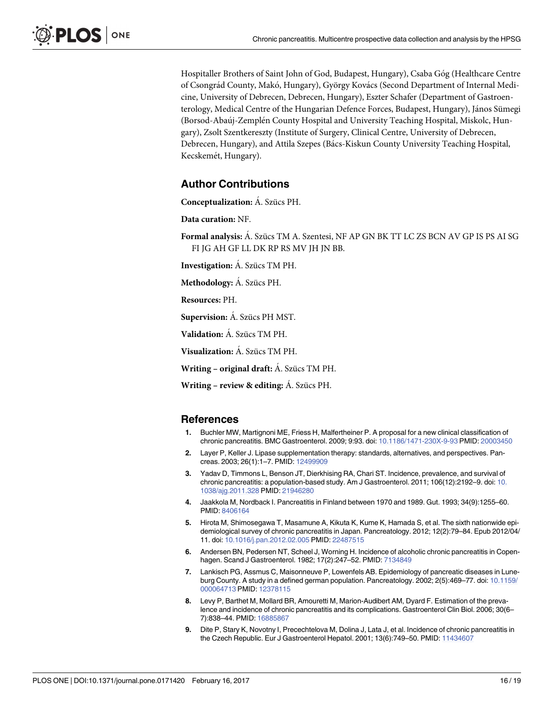<span id="page-15-0"></span>Hospitaller Brothers of Saint John of God, Budapest, Hungary), Csaba Góg (Healthcare Centre of Csongrád County, Makó, Hungary), György Kovács (Second Department of Internal Medicine, University of Debrecen, Debrecen, Hungary), Eszter Schafer (Department of Gastroenterology, Medical Centre of the Hungarian Defence Forces, Budapest, Hungary), János Sümegi (Borsod-Abaúj-Zemplén County Hospital and University Teaching Hospital, Miskolc, Hungary), Zsolt Szentkereszty (Institute of Surgery, Clinical Centre, University of Debrecen, Debrecen, Hungary), and Attila Szepes (Ba´cs-Kiskun County University Teaching Hospital, Kecskemét, Hungary).

## **Author Contributions**

**Conceptualization:** A. Szücs PH.

**Data curation:** NF.

Formal analysis: A. Szücs TM A. Szentesi, NF AP GN BK TT LC ZS BCN AV GP IS PS AI SG FI JG AH GF LL DK RP RS MV JH JN BB.

**Investigation:** A. Szücs TM PH.

**Methodology:** Á. Szücs PH.

**Resources:** PH.

**Supervision:** A. Szücs PH MST.

**Validation:** A. Szücs TM PH.

**Visualization:** A. Szücs TM PH.

**Writing** – **original draft:** A. Szücs TM PH.

**Writing – review & editing:** A. Szücs PH.

#### **References**

- **[1](#page-1-0).** Buchler MW, Martignoni ME, Friess H, Malfertheiner P. A proposal for a new clinical classification of chronic pancreatitis. BMC Gastroenterol. 2009; 9:93. doi: [10.1186/1471-230X-9-93](http://dx.doi.org/10.1186/1471-230X-9-93) PMID: [20003450](http://www.ncbi.nlm.nih.gov/pubmed/20003450)
- **[2](#page-1-0).** Layer P, Keller J. Lipase supplementation therapy: standards, alternatives, and perspectives. Pancreas. 2003; 26(1):1–7. PMID: [12499909](http://www.ncbi.nlm.nih.gov/pubmed/12499909)
- **[3](#page-10-0).** Yadav D, Timmons L, Benson JT, Dierkhising RA, Chari ST. Incidence, prevalence, and survival of chronic pancreatitis: a population-based study. Am J Gastroenterol. 2011; 106(12):2192–9. doi: [10.](http://dx.doi.org/10.1038/ajg.2011.328) [1038/ajg.2011.328](http://dx.doi.org/10.1038/ajg.2011.328) PMID: [21946280](http://www.ncbi.nlm.nih.gov/pubmed/21946280)
- **[4](#page-10-0).** Jaakkola M, Nordback I. Pancreatitis in Finland between 1970 and 1989. Gut. 1993; 34(9):1255–60. PMID: [8406164](http://www.ncbi.nlm.nih.gov/pubmed/8406164)
- **[5](#page-10-0).** Hirota M, Shimosegawa T, Masamune A, Kikuta K, Kume K, Hamada S, et al. The sixth nationwide epidemiological survey of chronic pancreatitis in Japan. Pancreatology. 2012; 12(2):79–84. Epub 2012/04/ 11. doi: [10.1016/j.pan.2012.02.005](http://dx.doi.org/10.1016/j.pan.2012.02.005) PMID: [22487515](http://www.ncbi.nlm.nih.gov/pubmed/22487515)
- **[6](#page-10-0).** Andersen BN, Pedersen NT, Scheel J, Worning H. Incidence of alcoholic chronic pancreatitis in Copenhagen. Scand J Gastroenterol. 1982; 17(2):247–52. PMID: [7134849](http://www.ncbi.nlm.nih.gov/pubmed/7134849)
- **[7](#page-10-0).** Lankisch PG, Assmus C, Maisonneuve P, Lowenfels AB. Epidemiology of pancreatic diseases in Luneburg County. A study in a defined german population. Pancreatology. 2002; 2(5):469–77. doi: [10.1159/](http://dx.doi.org/10.1159/000064713) [000064713](http://dx.doi.org/10.1159/000064713) PMID: [12378115](http://www.ncbi.nlm.nih.gov/pubmed/12378115)
- **[8](#page-10-0).** Levy P, Barthet M, Mollard BR, Amouretti M, Marion-Audibert AM, Dyard F. Estimation of the prevalence and incidence of chronic pancreatitis and its complications. Gastroenterol Clin Biol. 2006; 30(6– 7):838–44. PMID: [16885867](http://www.ncbi.nlm.nih.gov/pubmed/16885867)
- **[9](#page-10-0).** Dite P, Stary K, Novotny I, Precechtelova M, Dolina J, Lata J, et al. Incidence of chronic pancreatitis in the Czech Republic. Eur J Gastroenterol Hepatol. 2001; 13(6):749–50. PMID: [11434607](http://www.ncbi.nlm.nih.gov/pubmed/11434607)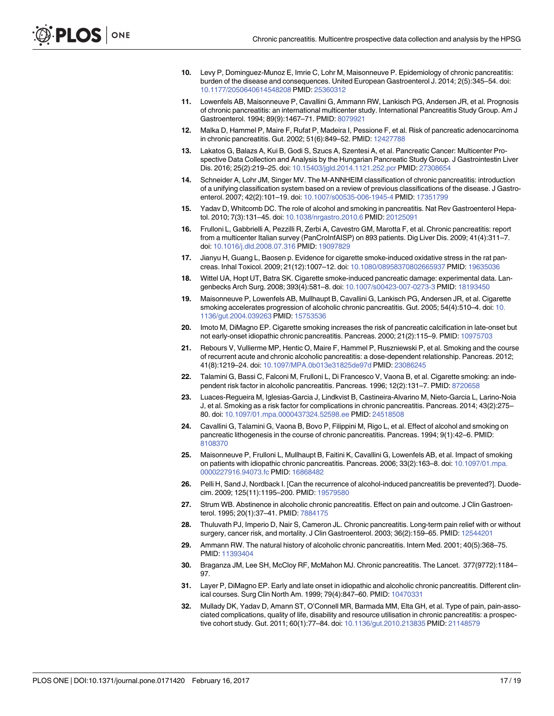- <span id="page-16-0"></span>**[10](#page-10-0).** Levy P, Dominguez-Munoz E, Imrie C, Lohr M, Maisonneuve P. Epidemiology of chronic pancreatitis: burden of the disease and consequences. United European Gastroenterol J. 2014; 2(5):345–54. doi: [10.1177/2050640614548208](http://dx.doi.org/10.1177/2050640614548208) PMID: [25360312](http://www.ncbi.nlm.nih.gov/pubmed/25360312)
- **[11](#page-10-0).** Lowenfels AB, Maisonneuve P, Cavallini G, Ammann RW, Lankisch PG, Andersen JR, et al. Prognosis of chronic pancreatitis: an international multicenter study. International Pancreatitis Study Group. Am J Gastroenterol. 1994; 89(9):1467–71. PMID: [8079921](http://www.ncbi.nlm.nih.gov/pubmed/8079921)
- **[12](#page-10-0).** Malka D, Hammel P, Maire F, Rufat P, Madeira I, Pessione F, et al. Risk of pancreatic adenocarcinoma in chronic pancreatitis. Gut. 2002; 51(6):849–52. PMID: [12427788](http://www.ncbi.nlm.nih.gov/pubmed/12427788)
- **[13](#page-10-0).** Lakatos G, Balazs A, Kui B, Godi S, Szucs A, Szentesi A, et al. Pancreatic Cancer: Multicenter Prospective Data Collection and Analysis by the Hungarian Pancreatic Study Group. J Gastrointestin Liver Dis. 2016; 25(2):219–25. doi: [10.15403/jgld.2014.1121.252.pcr](http://dx.doi.org/10.15403/jgld.2014.1121.252.pcr) PMID: [27308654](http://www.ncbi.nlm.nih.gov/pubmed/27308654)
- **[14](#page-10-0).** Schneider A, Lohr JM, Singer MV. The M-ANNHEIM classification of chronic pancreatitis: introduction of a unifying classification system based on a review of previous classifications of the disease. J Gastroenterol. 2007; 42(2):101–19. doi: [10.1007/s00535-006-1945-4](http://dx.doi.org/10.1007/s00535-006-1945-4) PMID: [17351799](http://www.ncbi.nlm.nih.gov/pubmed/17351799)
- **[15](#page-10-0).** Yadav D, Whitcomb DC. The role of alcohol and smoking in pancreatitis. Nat Rev Gastroenterol Hepatol. 2010; 7(3):131–45. doi: [10.1038/nrgastro.2010.6](http://dx.doi.org/10.1038/nrgastro.2010.6) PMID: [20125091](http://www.ncbi.nlm.nih.gov/pubmed/20125091)
- **[16](#page-10-0).** Frulloni L, Gabbrielli A, Pezzilli R, Zerbi A, Cavestro GM, Marotta F, et al. Chronic pancreatitis: report from a multicenter Italian survey (PanCroInfAISP) on 893 patients. Dig Liver Dis. 2009; 41(4):311–7. doi: [10.1016/j.dld.2008.07.316](http://dx.doi.org/10.1016/j.dld.2008.07.316) PMID: [19097829](http://www.ncbi.nlm.nih.gov/pubmed/19097829)
- **[17](#page-10-0).** Jianyu H, Guang L, Baosen p. Evidence for cigarette smoke-induced oxidative stress in the rat pancreas. Inhal Toxicol. 2009; 21(12):1007–12. doi: [10.1080/08958370802665937](http://dx.doi.org/10.1080/08958370802665937) PMID: [19635036](http://www.ncbi.nlm.nih.gov/pubmed/19635036)
- **18.** Wittel UA, Hopt UT, Batra SK. Cigarette smoke-induced pancreatic damage: experimental data. Langenbecks Arch Surg. 2008; 393(4):581–8. doi: [10.1007/s00423-007-0273-3](http://dx.doi.org/10.1007/s00423-007-0273-3) PMID: [18193450](http://www.ncbi.nlm.nih.gov/pubmed/18193450)
- **[19](#page-10-0).** Maisonneuve P, Lowenfels AB, Mullhaupt B, Cavallini G, Lankisch PG, Andersen JR, et al. Cigarette smoking accelerates progression of alcoholic chronic pancreatitis. Gut. 2005; 54(4):510–4. doi: [10.](http://dx.doi.org/10.1136/gut.2004.039263) [1136/gut.2004.039263](http://dx.doi.org/10.1136/gut.2004.039263) PMID: [15753536](http://www.ncbi.nlm.nih.gov/pubmed/15753536)
- **[20](#page-10-0).** Imoto M, DiMagno EP. Cigarette smoking increases the risk of pancreatic calcification in late-onset but not early-onset idiopathic chronic pancreatitis. Pancreas. 2000; 21(2):115–9. PMID: [10975703](http://www.ncbi.nlm.nih.gov/pubmed/10975703)
- **[21](#page-10-0).** Rebours V, Vullierme MP, Hentic O, Maire F, Hammel P, Ruszniewski P, et al. Smoking and the course of recurrent acute and chronic alcoholic pancreatitis: a dose-dependent relationship. Pancreas. 2012; 41(8):1219–24. doi: [10.1097/MPA.0b013e31825de97d](http://dx.doi.org/10.1097/MPA.0b013e31825de97d) PMID: [23086245](http://www.ncbi.nlm.nih.gov/pubmed/23086245)
- **[22](#page-10-0).** Talamini G, Bassi C, Falconi M, Frulloni L, Di Francesco V, Vaona B, et al. Cigarette smoking: an independent risk factor in alcoholic pancreatitis. Pancreas. 1996; 12(2):131–7. PMID: [8720658](http://www.ncbi.nlm.nih.gov/pubmed/8720658)
- **[23](#page-10-0).** Luaces-Regueira M, Iglesias-Garcia J, Lindkvist B, Castineira-Alvarino M, Nieto-Garcia L, Larino-Noia J, et al. Smoking as a risk factor for complications in chronic pancreatitis. Pancreas. 2014; 43(2):275– 80. doi: [10.1097/01.mpa.0000437324.52598.ee](http://dx.doi.org/10.1097/01.mpa.0000437324.52598.ee) PMID: [24518508](http://www.ncbi.nlm.nih.gov/pubmed/24518508)
- **[24](#page-10-0).** Cavallini G, Talamini G, Vaona B, Bovo P, Filippini M, Rigo L, et al. Effect of alcohol and smoking on pancreatic lithogenesis in the course of chronic pancreatitis. Pancreas. 1994; 9(1):42–6. PMID: [8108370](http://www.ncbi.nlm.nih.gov/pubmed/8108370)
- **[25](#page-10-0).** Maisonneuve P, Frulloni L, Mullhaupt B, Faitini K, Cavallini G, Lowenfels AB, et al. Impact of smoking on patients with idiopathic chronic pancreatitis. Pancreas. 2006; 33(2):163–8. doi: [10.1097/01.mpa.](http://dx.doi.org/10.1097/01.mpa.0000227916.94073.fc) [0000227916.94073.fc](http://dx.doi.org/10.1097/01.mpa.0000227916.94073.fc) PMID: [16868482](http://www.ncbi.nlm.nih.gov/pubmed/16868482)
- **[26](#page-11-0).** Pelli H, Sand J, Nordback I. [Can the recurrence of alcohol-induced pancreatitis be prevented?]. Duodecim. 2009; 125(11):1195–200. PMID: [19579580](http://www.ncbi.nlm.nih.gov/pubmed/19579580)
- **[27](#page-11-0).** Strum WB. Abstinence in alcoholic chronic pancreatitis. Effect on pain and outcome. J Clin Gastroenterol. 1995; 20(1):37–41. PMID: [7884175](http://www.ncbi.nlm.nih.gov/pubmed/7884175)
- **[28](#page-11-0).** Thuluvath PJ, Imperio D, Nair S, Cameron JL. Chronic pancreatitis. Long-term pain relief with or without surgery, cancer risk, and mortality. J Clin Gastroenterol. 2003; 36(2):159–65. PMID: [12544201](http://www.ncbi.nlm.nih.gov/pubmed/12544201)
- **[29](#page-11-0).** Ammann RW. The natural history of alcoholic chronic pancreatitis. Intern Med. 2001; 40(5):368–75. PMID: [11393404](http://www.ncbi.nlm.nih.gov/pubmed/11393404)
- **[30](#page-12-0).** Braganza JM, Lee SH, McCloy RF, McMahon MJ. Chronic pancreatitis. The Lancet. 377(9772):1184– 97.
- **31.** Layer P, DiMagno EP. Early and late onset in idiopathic and alcoholic chronic pancreatitis. Different clinical courses. Surg Clin North Am. 1999; 79(4):847–60. PMID: [10470331](http://www.ncbi.nlm.nih.gov/pubmed/10470331)
- **[32](#page-11-0).** Mullady DK, Yadav D, Amann ST, O'Connell MR, Barmada MM, Elta GH, et al. Type of pain, pain-associated complications, quality of life, disability and resource utilisation in chronic pancreatitis: a prospective cohort study. Gut. 2011; 60(1):77–84. doi: [10.1136/gut.2010.213835](http://dx.doi.org/10.1136/gut.2010.213835) PMID: [21148579](http://www.ncbi.nlm.nih.gov/pubmed/21148579)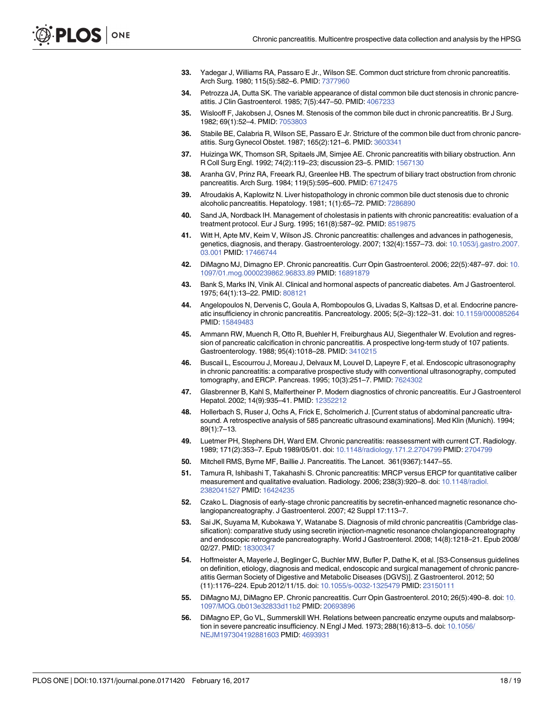- <span id="page-17-0"></span>**[33](#page-11-0).** Yadegar J, Williams RA, Passaro E Jr., Wilson SE. Common duct stricture from chronic pancreatitis. Arch Surg. 1980; 115(5):582–6. PMID: [7377960](http://www.ncbi.nlm.nih.gov/pubmed/7377960)
- **34.** Petrozza JA, Dutta SK. The variable appearance of distal common bile duct stenosis in chronic pancreatitis. J Clin Gastroenterol. 1985; 7(5):447–50. PMID: [4067233](http://www.ncbi.nlm.nih.gov/pubmed/4067233)
- **35.** Wislooff F, Jakobsen J, Osnes M. Stenosis of the common bile duct in chronic pancreatitis. Br J Surg. 1982; 69(1):52–4. PMID: [7053803](http://www.ncbi.nlm.nih.gov/pubmed/7053803)
- **36.** Stabile BE, Calabria R, Wilson SE, Passaro E Jr. Stricture of the common bile duct from chronic pancreatitis. Surg Gynecol Obstet. 1987; 165(2):121–6. PMID: [3603341](http://www.ncbi.nlm.nih.gov/pubmed/3603341)
- **37.** Huizinga WK, Thomson SR, Spitaels JM, Simjee AE. Chronic pancreatitis with biliary obstruction. Ann R Coll Surg Engl. 1992; 74(2):119–23; discussion 23–5. PMID: [1567130](http://www.ncbi.nlm.nih.gov/pubmed/1567130)
- **38.** Aranha GV, Prinz RA, Freeark RJ, Greenlee HB. The spectrum of biliary tract obstruction from chronic pancreatitis. Arch Surg. 1984; 119(5):595–600. PMID: [6712475](http://www.ncbi.nlm.nih.gov/pubmed/6712475)
- **39.** Afroudakis A, Kaplowitz N. Liver histopathology in chronic common bile duct stenosis due to chronic alcoholic pancreatitis. Hepatology. 1981; 1(1):65–72. PMID: [7286890](http://www.ncbi.nlm.nih.gov/pubmed/7286890)
- **[40](#page-11-0).** Sand JA, Nordback IH. Management of cholestasis in patients with chronic pancreatitis: evaluation of a treatment protocol. Eur J Surg. 1995; 161(8):587–92. PMID: [8519875](http://www.ncbi.nlm.nih.gov/pubmed/8519875)
- **[41](#page-11-0).** Witt H, Apte MV, Keim V, Wilson JS. Chronic pancreatitis: challenges and advances in pathogenesis, genetics, diagnosis, and therapy. Gastroenterology. 2007; 132(4):1557–73. doi: [10.1053/j.gastro.2007.](http://dx.doi.org/10.1053/j.gastro.2007.03.001) [03.001](http://dx.doi.org/10.1053/j.gastro.2007.03.001) PMID: [17466744](http://www.ncbi.nlm.nih.gov/pubmed/17466744)
- **[42](#page-11-0).** DiMagno MJ, Dimagno EP. Chronic pancreatitis. Curr Opin Gastroenterol. 2006; 22(5):487–97. doi: [10.](http://dx.doi.org/10.1097/01.mog.0000239862.96833.89) [1097/01.mog.0000239862.96833.89](http://dx.doi.org/10.1097/01.mog.0000239862.96833.89) PMID: [16891879](http://www.ncbi.nlm.nih.gov/pubmed/16891879)
- **[43](#page-11-0).** Bank S, Marks IN, Vinik AI. Clinical and hormonal aspects of pancreatic diabetes. Am J Gastroenterol. 1975; 64(1):13–22. PMID: [808121](http://www.ncbi.nlm.nih.gov/pubmed/808121)
- **[44](#page-11-0).** Angelopoulos N, Dervenis C, Goula A, Rombopoulos G, Livadas S, Kaltsas D, et al. Endocrine pancreatic insufficiency in chronic pancreatitis. Pancreatology. 2005; 5(2–3):122–31. doi: [10.1159/000085264](http://dx.doi.org/10.1159/000085264) PMID: [15849483](http://www.ncbi.nlm.nih.gov/pubmed/15849483)
- **[45](#page-11-0).** Ammann RW, Muench R, Otto R, Buehler H, Freiburghaus AU, Siegenthaler W. Evolution and regression of pancreatic calcification in chronic pancreatitis. A prospective long-term study of 107 patients. Gastroenterology. 1988; 95(4):1018–28. PMID: [3410215](http://www.ncbi.nlm.nih.gov/pubmed/3410215)
- **[46](#page-11-0).** Buscail L, Escourrou J, Moreau J, Delvaux M, Louvel D, Lapeyre F, et al. Endoscopic ultrasonography in chronic pancreatitis: a comparative prospective study with conventional ultrasonography, computed tomography, and ERCP. Pancreas. 1995; 10(3):251–7. PMID: [7624302](http://www.ncbi.nlm.nih.gov/pubmed/7624302)
- **47.** Glasbrenner B, Kahl S, Malfertheiner P. Modern diagnostics of chronic pancreatitis. Eur J Gastroenterol Hepatol. 2002; 14(9):935–41. PMID: [12352212](http://www.ncbi.nlm.nih.gov/pubmed/12352212)
- **[48](#page-11-0).** Hollerbach S, Ruser J, Ochs A, Frick E, Scholmerich J. [Current status of abdominal pancreatic ultrasound. A retrospective analysis of 585 pancreatic ultrasound examinations]. Med Klin (Munich). 1994; 89(1):7–13.
- **[49](#page-11-0).** Luetmer PH, Stephens DH, Ward EM. Chronic pancreatitis: reassessment with current CT. Radiology. 1989; 171(2):353–7. Epub 1989/05/01. doi: [10.1148/radiology.171.2.2704799](http://dx.doi.org/10.1148/radiology.171.2.2704799) PMID: [2704799](http://www.ncbi.nlm.nih.gov/pubmed/2704799)
- **[50](#page-11-0).** Mitchell RMS, Byrne MF, Baillie J. Pancreatitis. The Lancet. 361(9367):1447–55.
- **[51](#page-12-0).** Tamura R, Ishibashi T, Takahashi S. Chronic pancreatitis: MRCP versus ERCP for quantitative caliber measurement and qualitative evaluation. Radiology. 2006; 238(3):920–8. doi: [10.1148/radiol.](http://dx.doi.org/10.1148/radiol.2382041527) [2382041527](http://dx.doi.org/10.1148/radiol.2382041527) PMID: [16424235](http://www.ncbi.nlm.nih.gov/pubmed/16424235)
- **[52](#page-12-0).** Czako L. Diagnosis of early-stage chronic pancreatitis by secretin-enhanced magnetic resonance cholangiopancreatography. J Gastroenterol. 2007; 42 Suppl 17:113–7.
- **[53](#page-12-0).** Sai JK, Suyama M, Kubokawa Y, Watanabe S. Diagnosis of mild chronic pancreatitis (Cambridge classification): comparative study using secretin injection-magnetic resonance cholangiopancreatography and endoscopic retrograde pancreatography. World J Gastroenterol. 2008; 14(8):1218–21. Epub 2008/ 02/27. PMID: [18300347](http://www.ncbi.nlm.nih.gov/pubmed/18300347)
- **[54](#page-12-0).** Hoffmeister A, Mayerle J, Beglinger C, Buchler MW, Bufler P, Dathe K, et al. [S3-Consensus guidelines on definition, etiology, diagnosis and medical, endoscopic and surgical management of chronic pancreatitis German Society of Digestive and Metabolic Diseases (DGVS)]. Z Gastroenterol. 2012; 50 (11):1176–224. Epub 2012/11/15. doi: [10.1055/s-0032-1325479](http://dx.doi.org/10.1055/s-0032-1325479) PMID: [23150111](http://www.ncbi.nlm.nih.gov/pubmed/23150111)
- **[55](#page-12-0).** DiMagno MJ, DiMagno EP. Chronic pancreatitis. Curr Opin Gastroenterol. 2010; 26(5):490–8. doi: [10.](http://dx.doi.org/10.1097/MOG.0b013e32833d11b2) [1097/MOG.0b013e32833d11b2](http://dx.doi.org/10.1097/MOG.0b013e32833d11b2) PMID: [20693896](http://www.ncbi.nlm.nih.gov/pubmed/20693896)
- **[56](#page-12-0).** DiMagno EP, Go VL, Summerskill WH. Relations between pancreatic enzyme ouputs and malabsorption in severe pancreatic insufficiency. N Engl J Med. 1973; 288(16):813–5. doi: [10.1056/](http://dx.doi.org/10.1056/NEJM197304192881603) [NEJM197304192881603](http://dx.doi.org/10.1056/NEJM197304192881603) PMID: [4693931](http://www.ncbi.nlm.nih.gov/pubmed/4693931)